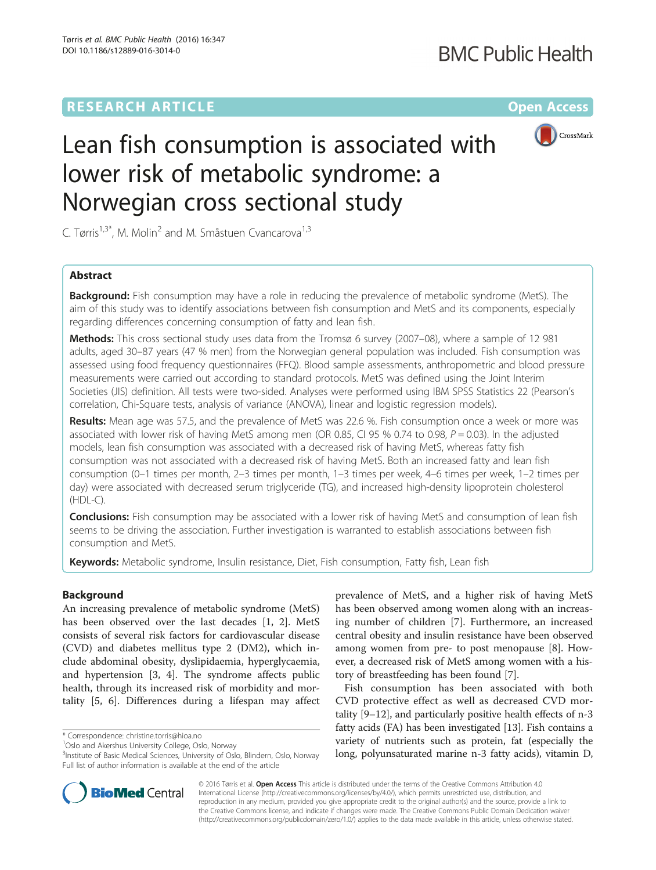## **RESEARCH ARTICLE External Structure Community Community Community Community Community Community Community Community**



# Lean fish consumption is associated with lower risk of metabolic syndrome: a Norwegian cross sectional study

C. Tørris<sup>1,3\*</sup>, M. Molin<sup>2</sup> and M. Småstuen Cvancarova<sup>1,3</sup>

## Abstract

**Background:** Fish consumption may have a role in reducing the prevalence of metabolic syndrome (MetS). The aim of this study was to identify associations between fish consumption and MetS and its components, especially regarding differences concerning consumption of fatty and lean fish.

Methods: This cross sectional study uses data from the Tromsø 6 survey (2007–08), where a sample of 12 981 adults, aged 30–87 years (47 % men) from the Norwegian general population was included. Fish consumption was assessed using food frequency questionnaires (FFQ). Blood sample assessments, anthropometric and blood pressure measurements were carried out according to standard protocols. MetS was defined using the Joint Interim Societies (JIS) definition. All tests were two-sided. Analyses were performed using IBM SPSS Statistics 22 (Pearson's correlation, Chi-Square tests, analysis of variance (ANOVA), linear and logistic regression models).

Results: Mean age was 57.5, and the prevalence of MetS was 22.6 %. Fish consumption once a week or more was associated with lower risk of having MetS among men (OR 0.85, CI 95 % 0.74 to 0.98,  $P = 0.03$ ). In the adjusted models, lean fish consumption was associated with a decreased risk of having MetS, whereas fatty fish consumption was not associated with a decreased risk of having MetS. Both an increased fatty and lean fish consumption (0–1 times per month, 2–3 times per month, 1–3 times per week, 4–6 times per week, 1–2 times per day) were associated with decreased serum triglyceride (TG), and increased high-density lipoprotein cholesterol  $(HDL-C)$ .

**Conclusions:** Fish consumption may be associated with a lower risk of having MetS and consumption of lean fish seems to be driving the association. Further investigation is warranted to establish associations between fish consumption and MetS.

Keywords: Metabolic syndrome, Insulin resistance, Diet, Fish consumption, Fatty fish, Lean fish

## Background

An increasing prevalence of metabolic syndrome (MetS) has been observed over the last decades [\[1](#page-7-0), [2](#page-7-0)]. MetS consists of several risk factors for cardiovascular disease (CVD) and diabetes mellitus type 2 (DM2), which include abdominal obesity, dyslipidaemia, hyperglycaemia, and hypertension [[3](#page-7-0), [4\]](#page-7-0). The syndrome affects public health, through its increased risk of morbidity and mortality [[5, 6](#page-7-0)]. Differences during a lifespan may affect

\* Correspondence: [christine.torris@hioa.no](mailto:christine.torris@hioa.no) <sup>1</sup>

prevalence of MetS, and a higher risk of having MetS has been observed among women along with an increasing number of children [\[7](#page-7-0)]. Furthermore, an increased central obesity and insulin resistance have been observed among women from pre- to post menopause [\[8](#page-7-0)]. However, a decreased risk of MetS among women with a history of breastfeeding has been found [\[7](#page-7-0)].

Fish consumption has been associated with both CVD protective effect as well as decreased CVD mortality [\[9](#page-7-0)–[12\]](#page-7-0), and particularly positive health effects of n-3 fatty acids (FA) has been investigated [\[13](#page-7-0)]. Fish contains a variety of nutrients such as protein, fat (especially the long, polyunsaturated marine n-3 fatty acids), vitamin D,



© 2016 Tørris et al. Open Access This article is distributed under the terms of the Creative Commons Attribution 4.0 International License [\(http://creativecommons.org/licenses/by/4.0/](http://creativecommons.org/licenses/by/4.0/)), which permits unrestricted use, distribution, and reproduction in any medium, provided you give appropriate credit to the original author(s) and the source, provide a link to the Creative Commons license, and indicate if changes were made. The Creative Commons Public Domain Dedication waiver [\(http://creativecommons.org/publicdomain/zero/1.0/](http://creativecommons.org/publicdomain/zero/1.0/)) applies to the data made available in this article, unless otherwise stated.

<sup>&</sup>lt;sup>1</sup>Oslo and Akershus University College, Oslo, Norway

<sup>&</sup>lt;sup>3</sup>Institute of Basic Medical Sciences, University of Oslo, Blindern, Oslo, Norway Full list of author information is available at the end of the article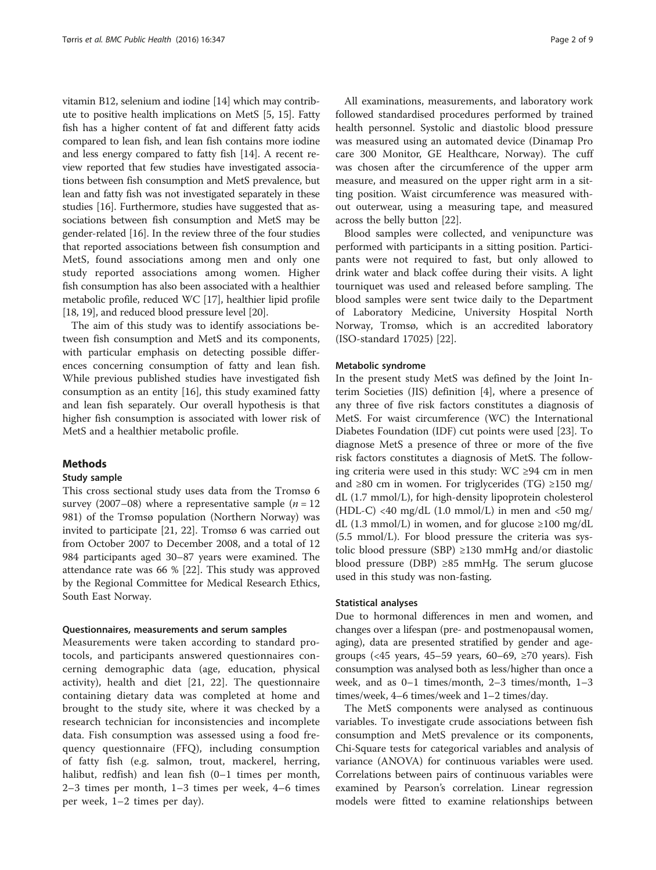vitamin B12, selenium and iodine [\[14](#page-7-0)] which may contribute to positive health implications on MetS [[5, 15](#page-7-0)]. Fatty fish has a higher content of fat and different fatty acids compared to lean fish, and lean fish contains more iodine and less energy compared to fatty fish [\[14\]](#page-7-0). A recent review reported that few studies have investigated associations between fish consumption and MetS prevalence, but lean and fatty fish was not investigated separately in these studies [[16](#page-7-0)]. Furthermore, studies have suggested that associations between fish consumption and MetS may be gender-related [\[16](#page-7-0)]. In the review three of the four studies that reported associations between fish consumption and MetS, found associations among men and only one study reported associations among women. Higher fish consumption has also been associated with a healthier metabolic profile, reduced WC [[17](#page-7-0)], healthier lipid profile [[18](#page-7-0), [19\]](#page-7-0), and reduced blood pressure level [[20\]](#page-7-0).

The aim of this study was to identify associations between fish consumption and MetS and its components, with particular emphasis on detecting possible differences concerning consumption of fatty and lean fish. While previous published studies have investigated fish consumption as an entity [\[16\]](#page-7-0), this study examined fatty and lean fish separately. Our overall hypothesis is that higher fish consumption is associated with lower risk of MetS and a healthier metabolic profile.

#### Methods

#### Study sample

This cross sectional study uses data from the Tromsø 6 survey (2007–08) where a representative sample  $(n = 12)$ 981) of the Tromsø population (Northern Norway) was invited to participate [\[21, 22](#page-7-0)]. Tromsø 6 was carried out from October 2007 to December 2008, and a total of 12 984 participants aged 30–87 years were examined. The attendance rate was 66 % [[22\]](#page-7-0). This study was approved by the Regional Committee for Medical Research Ethics, South East Norway.

#### Questionnaires, measurements and serum samples

Measurements were taken according to standard protocols, and participants answered questionnaires concerning demographic data (age, education, physical activity), health and diet [[21, 22](#page-7-0)]. The questionnaire containing dietary data was completed at home and brought to the study site, where it was checked by a research technician for inconsistencies and incomplete data. Fish consumption was assessed using a food frequency questionnaire (FFQ), including consumption of fatty fish (e.g. salmon, trout, mackerel, herring, halibut, redfish) and lean fish (0–1 times per month, 2–3 times per month, 1–3 times per week, 4–6 times per week, 1–2 times per day).

All examinations, measurements, and laboratory work followed standardised procedures performed by trained health personnel. Systolic and diastolic blood pressure was measured using an automated device (Dinamap Pro care 300 Monitor, GE Healthcare, Norway). The cuff was chosen after the circumference of the upper arm measure, and measured on the upper right arm in a sitting position. Waist circumference was measured without outerwear, using a measuring tape, and measured across the belly button [[22\]](#page-7-0).

Blood samples were collected, and venipuncture was performed with participants in a sitting position. Participants were not required to fast, but only allowed to drink water and black coffee during their visits. A light tourniquet was used and released before sampling. The blood samples were sent twice daily to the Department of Laboratory Medicine, University Hospital North Norway, Tromsø, which is an accredited laboratory (ISO-standard 17025) [\[22](#page-7-0)].

#### Metabolic syndrome

In the present study MetS was defined by the Joint Interim Societies (JIS) definition [\[4](#page-7-0)], where a presence of any three of five risk factors constitutes a diagnosis of MetS. For waist circumference (WC) the International Diabetes Foundation (IDF) cut points were used [[23\]](#page-7-0). To diagnose MetS a presence of three or more of the five risk factors constitutes a diagnosis of MetS. The following criteria were used in this study: WC ≥94 cm in men and ≥80 cm in women. For triglycerides (TG) ≥150 mg/ dL (1.7 mmol/L), for high-density lipoprotein cholesterol (HDL-C) <40 mg/dL (1.0 mmol/L) in men and <50 mg/ dL (1.3 mmol/L) in women, and for glucose  $\geq 100$  mg/dL (5.5 mmol/L). For blood pressure the criteria was systolic blood pressure (SBP) ≥130 mmHg and/or diastolic blood pressure (DBP) ≥85 mmHg. The serum glucose used in this study was non-fasting.

#### Statistical analyses

Due to hormonal differences in men and women, and changes over a lifespan (pre- and postmenopausal women, aging), data are presented stratified by gender and agegroups (<45 years, 45–59 years, 60–69, ≥70 years). Fish consumption was analysed both as less/higher than once a week, and as 0–1 times/month, 2–3 times/month, 1–3 times/week, 4–6 times/week and 1–2 times/day.

The MetS components were analysed as continuous variables. To investigate crude associations between fish consumption and MetS prevalence or its components, Chi-Square tests for categorical variables and analysis of variance (ANOVA) for continuous variables were used. Correlations between pairs of continuous variables were examined by Pearson's correlation. Linear regression models were fitted to examine relationships between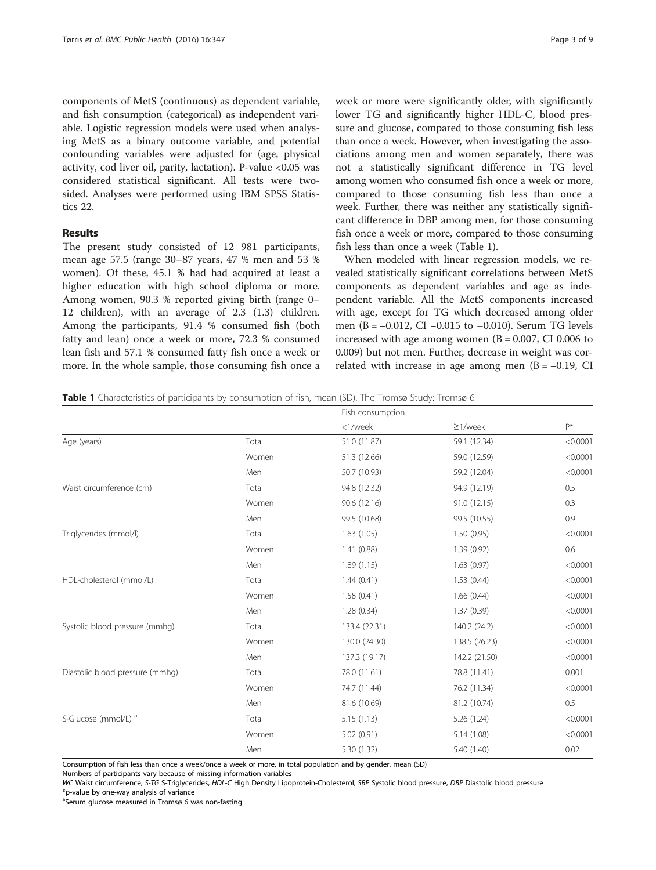components of MetS (continuous) as dependent variable, and fish consumption (categorical) as independent variable. Logistic regression models were used when analysing MetS as a binary outcome variable, and potential confounding variables were adjusted for (age, physical activity, cod liver oil, parity, lactation). P-value <0.05 was considered statistical significant. All tests were twosided. Analyses were performed using IBM SPSS Statistics 22.

## Results

The present study consisted of 12 981 participants, mean age 57.5 (range 30–87 years, 47 % men and 53 % women). Of these, 45.1 % had had acquired at least a higher education with high school diploma or more. Among women, 90.3 % reported giving birth (range 0– 12 children), with an average of 2.3 (1.3) children. Among the participants, 91.4 % consumed fish (both fatty and lean) once a week or more, 72.3 % consumed lean fish and 57.1 % consumed fatty fish once a week or more. In the whole sample, those consuming fish once a week or more were significantly older, with significantly lower TG and significantly higher HDL-C, blood pressure and glucose, compared to those consuming fish less than once a week. However, when investigating the associations among men and women separately, there was not a statistically significant difference in TG level among women who consumed fish once a week or more, compared to those consuming fish less than once a week. Further, there was neither any statistically significant difference in DBP among men, for those consuming fish once a week or more, compared to those consuming fish less than once a week (Table 1).

When modeled with linear regression models, we revealed statistically significant correlations between MetS components as dependent variables and age as independent variable. All the MetS components increased with age, except for TG which decreased among older men (B = −0.012, CI −0.015 to –0.010). Serum TG levels increased with age among women  $(B = 0.007, CI\ 0.006$  to 0.009) but not men. Further, decrease in weight was correlated with increase in age among men  $(B = -0.19, C1)$ 

|                                 |       | Fish consumption |               |          |
|---------------------------------|-------|------------------|---------------|----------|
|                                 |       | <1/week          | $\geq$ 1/week | $P^*$    |
| Age (years)                     | Total | 51.0 (11.87)     | 59.1 (12.34)  | < 0.0001 |
|                                 | Women | 51.3 (12.66)     | 59.0 (12.59)  | < 0.0001 |
|                                 | Men   | 50.7 (10.93)     | 59.2 (12.04)  | < 0.0001 |
| Waist circumference (cm)        | Total | 94.8 (12.32)     | 94.9 (12.19)  | 0.5      |
|                                 | Women | 90.6 (12.16)     | 91.0 (12.15)  | 0.3      |
|                                 | Men   | 99.5 (10.68)     | 99.5 (10.55)  | 0.9      |
| Triglycerides (mmol/l)          | Total | 1.63(1.05)       | 1.50(0.95)    | < 0.0001 |
|                                 | Women | 1.41(0.88)       | 1.39(0.92)    | 0.6      |
|                                 | Men   | 1.89(1.15)       | 1.63(0.97)    | < 0.0001 |
| HDL-cholesterol (mmol/L)        | Total | 1.44(0.41)       | 1.53(0.44)    | < 0.0001 |
|                                 | Women | 1.58(0.41)       | 1.66(0.44)    | < 0.0001 |
|                                 | Men   | 1.28(0.34)       | 1.37(0.39)    | < 0.0001 |
| Systolic blood pressure (mmhq)  | Total | 133.4 (22.31)    | 140.2 (24.2)  | < 0.0001 |
|                                 | Women | 130.0 (24.30)    | 138.5 (26.23) | < 0.0001 |
|                                 | Men   | 137.3 (19.17)    | 142.2 (21.50) | < 0.0001 |
| Diastolic blood pressure (mmhg) | Total | 78.0 (11.61)     | 78.8 (11.41)  | 0.001    |
|                                 | Women | 74.7 (11.44)     | 76.2 (11.34)  | < 0.0001 |
|                                 | Men   | 81.6 (10.69)     | 81.2 (10.74)  | 0.5      |
| S-Glucose (mmol/L) <sup>a</sup> | Total | 5.15(1.13)       | 5.26 (1.24)   | < 0.0001 |
|                                 | Women | 5.02(0.91)       | 5.14(1.08)    | < 0.0001 |
|                                 | Men   | 5.30 (1.32)      | 5.40 (1.40)   | 0.02     |

Consumption of fish less than once a week/once a week or more, in total population and by gender, mean (SD)

Numbers of participants vary because of missing information variables

WC Waist circumference, S-TG S-Triglycerides, HDL-C High Density Lipoprotein-Cholesterol, SBP Systolic blood pressure, DBP Diastolic blood pressure \*p-value by one-way analysis of variance

<sup>a</sup>Serum glucose measured in Tromsø 6 was non-fasting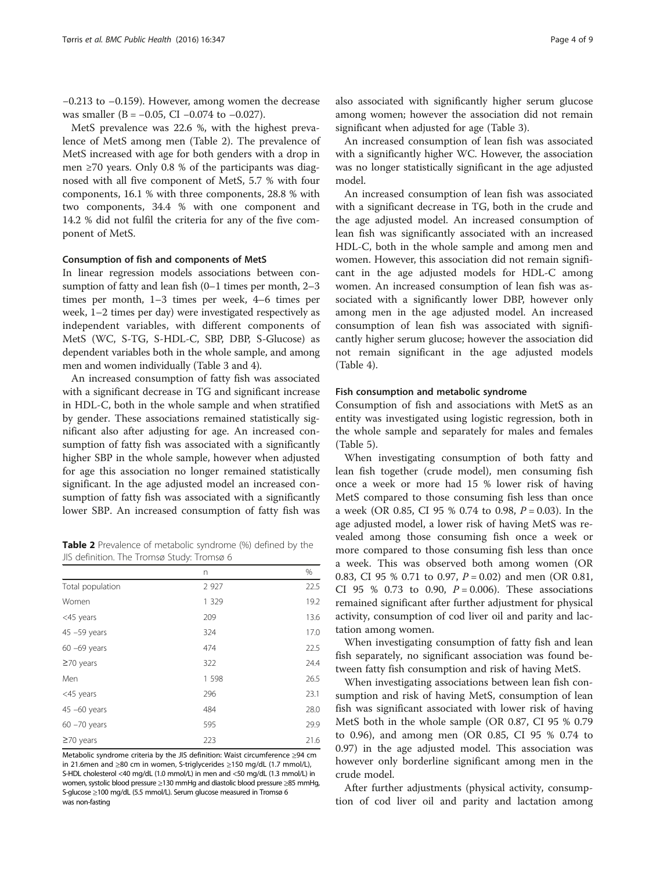−0.213 to –0.159). However, among women the decrease was smaller (B =  $-0.05$ , CI  $-0.074$  to  $-0.027$ ).

MetS prevalence was 22.6 %, with the highest prevalence of MetS among men (Table 2). The prevalence of MetS increased with age for both genders with a drop in men ≥70 years. Only 0.8 % of the participants was diagnosed with all five component of MetS, 5.7 % with four components, 16.1 % with three components, 28.8 % with two components, 34.4 % with one component and 14.2 % did not fulfil the criteria for any of the five component of MetS.

#### Consumption of fish and components of MetS

In linear regression models associations between consumption of fatty and lean fish (0–1 times per month, 2–3 times per month, 1–3 times per week, 4–6 times per week, 1–2 times per day) were investigated respectively as independent variables, with different components of MetS (WC, S-TG, S-HDL-C, SBP, DBP, S-Glucose) as dependent variables both in the whole sample, and among men and women individually (Table [3](#page-4-0) and [4\)](#page-4-0).

An increased consumption of fatty fish was associated with a significant decrease in TG and significant increase in HDL-C, both in the whole sample and when stratified by gender. These associations remained statistically significant also after adjusting for age. An increased consumption of fatty fish was associated with a significantly higher SBP in the whole sample, however when adjusted for age this association no longer remained statistically significant. In the age adjusted model an increased consumption of fatty fish was associated with a significantly lower SBP. An increased consumption of fatty fish was

**Table 2** Prevalence of metabolic syndrome (%) defined by the JIS definition. The Tromsø Study: Tromsø 6

|                  | n       | %    |
|------------------|---------|------|
| Total population | 2 9 2 7 | 22.5 |
| Women            | 1 3 2 9 | 19.2 |
| <45 years        | 209     | 13.6 |
| 45 -59 years     | 324     | 17.0 |
| $60 - 69$ years  | 474     | 22.5 |
| $\geq$ 70 years  | 322     | 24.4 |
| Men              | 1 5 9 8 | 26.5 |
| <45 years        | 296     | 23.1 |
| 45 -60 years     | 484     | 28.0 |
| $60 - 70$ years  | 595     | 29.9 |
| $\geq$ 70 years  | 223     | 21.6 |

Metabolic syndrome criteria by the JIS definition: Waist circumference ≥94 cm in 21.6men and ≥80 cm in women, S-triglycerides ≥150 mg/dL (1.7 mmol/L), S-HDL cholesterol <40 mg/dL (1.0 mmol/L) in men and <50 mg/dL (1.3 mmol/L) in women, systolic blood pressure ≥130 mmHg and diastolic blood pressure ≥85 mmHg, S-glucose ≥100 mg/dL (5.5 mmol/L). Serum glucose measured in Tromsø 6 was non-fasting

also associated with significantly higher serum glucose among women; however the association did not remain significant when adjusted for age (Table [3\)](#page-4-0).

An increased consumption of lean fish was associated with a significantly higher WC. However, the association was no longer statistically significant in the age adjusted model.

An increased consumption of lean fish was associated with a significant decrease in TG, both in the crude and the age adjusted model. An increased consumption of lean fish was significantly associated with an increased HDL-C, both in the whole sample and among men and women. However, this association did not remain significant in the age adjusted models for HDL-C among women. An increased consumption of lean fish was associated with a significantly lower DBP, however only among men in the age adjusted model. An increased consumption of lean fish was associated with significantly higher serum glucose; however the association did not remain significant in the age adjusted models (Table [4\)](#page-4-0).

#### Fish consumption and metabolic syndrome

Consumption of fish and associations with MetS as an entity was investigated using logistic regression, both in the whole sample and separately for males and females (Table [5\)](#page-5-0).

When investigating consumption of both fatty and lean fish together (crude model), men consuming fish once a week or more had 15 % lower risk of having MetS compared to those consuming fish less than once a week (OR 0.85, CI 95 % 0.74 to 0.98, P = 0.03). In the age adjusted model, a lower risk of having MetS was revealed among those consuming fish once a week or more compared to those consuming fish less than once a week. This was observed both among women (OR 0.83, CI 95 % 0.71 to 0.97,  $P = 0.02$ ) and men (OR 0.81, CI 95 % 0.73 to 0.90,  $P = 0.006$ ). These associations remained significant after further adjustment for physical activity, consumption of cod liver oil and parity and lactation among women.

When investigating consumption of fatty fish and lean fish separately, no significant association was found between fatty fish consumption and risk of having MetS.

When investigating associations between lean fish consumption and risk of having MetS, consumption of lean fish was significant associated with lower risk of having MetS both in the whole sample (OR 0.87, CI 95 % 0.79 to 0.96), and among men (OR 0.85, CI 95 % 0.74 to 0.97) in the age adjusted model. This association was however only borderline significant among men in the crude model.

After further adjustments (physical activity, consumption of cod liver oil and parity and lactation among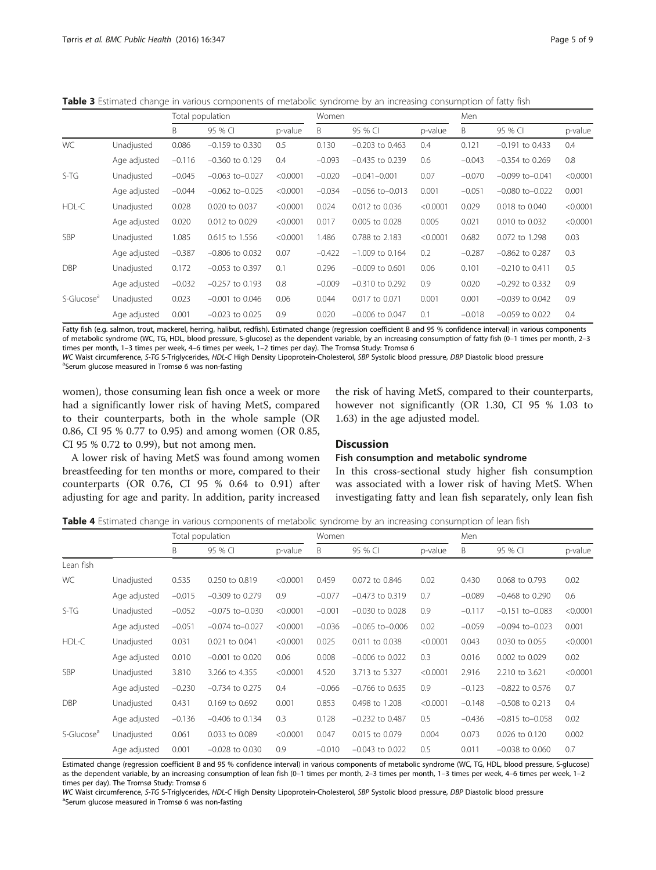<span id="page-4-0"></span>Table 3 Estimated change in various components of metabolic syndrome by an increasing consumption of fatty fish

|                        |              |          | Total population     |          |          | Women                |          | Men      |                      |          |
|------------------------|--------------|----------|----------------------|----------|----------|----------------------|----------|----------|----------------------|----------|
|                        |              | B        | 95 % CI              | p-value  | B        | 95 % CI              | p-value  | B        | 95 % CI              | p-value  |
| WC                     | Unadjusted   | 0.086    | $-0.159$ to 0.330    | 0.5      | 0.130    | $-0.203$ to 0.463    | 0.4      | 0.121    | $-0.191$ to 0.433    | 0.4      |
|                        | Age adjusted | $-0.116$ | $-0.360$ to 0.129    | 0.4      | $-0.093$ | $-0.435$ to 0.239    | 0.6      | $-0.043$ | $-0.354$ to 0.269    | 0.8      |
| $S-TG$                 | Unadjusted   | $-0.045$ | $-0.063$ to $-0.027$ | < 0.0001 | $-0.020$ | $-0.041 - 0.001$     | 0.07     | $-0.070$ | $-0.099$ to $-0.041$ | < 0.0001 |
|                        | Age adjusted | $-0.044$ | $-0.062$ to $-0.025$ | < 0.0001 | $-0.034$ | $-0.056$ to $-0.013$ | 0.001    | $-0.051$ | $-0.080$ to $-0.022$ | 0.001    |
| HDL-C                  | Unadjusted   | 0.028    | 0.020 to 0.037       | < 0.0001 | 0.024    | 0.012 to 0.036       | < 0.0001 | 0.029    | 0.018 to 0.040       | < 0.0001 |
|                        | Age adjusted | 0.020    | 0.012 to 0.029       | < 0.0001 | 0.017    | 0.005 to 0.028       | 0.005    | 0.021    | 0.010 to 0.032       | < 0.0001 |
| SBP                    | Unadjusted   | 1.085    | 0.615 to 1.556       | < 0.0001 | 1.486    | 0.788 to 2.183       | < 0.0001 | 0.682    | 0.072 to 1.298       | 0.03     |
|                        | Age adjusted | $-0.387$ | $-0.806$ to 0.032    | 0.07     | $-0.422$ | $-1.009$ to 0.164    | 0.2      | $-0.287$ | $-0.862$ to 0.287    | 0.3      |
| <b>DBP</b>             | Unadjusted   | 0.172    | $-0.053$ to 0.397    | 0.1      | 0.296    | $-0.009$ to 0.601    | 0.06     | 0.101    | $-0.210$ to 0.411    | 0.5      |
|                        | Age adjusted | $-0.032$ | $-0.257$ to 0.193    | 0.8      | $-0.009$ | $-0.310$ to 0.292    | 0.9      | 0.020    | $-0.292$ to 0.332    | 0.9      |
| S-Glucose <sup>a</sup> | Unadjusted   | 0.023    | $-0.001$ to 0.046    | 0.06     | 0.044    | 0.017 to 0.071       | 0.001    | 0.001    | $-0.039$ to $0.042$  | 0.9      |
|                        | Age adjusted | 0.001    | $-0.023$ to 0.025    | 0.9      | 0.020    | $-0.006$ to 0.047    | 0.1      | $-0.018$ | $-0.059$ to 0.022    | 0.4      |

Fatty fish (e.g. salmon, trout, mackerel, herring, halibut, redfish). Estimated change (regression coefficient B and 95 % confidence interval) in various components of metabolic syndrome (WC, TG, HDL, blood pressure, S-glucose) as the dependent variable, by an increasing consumption of fatty fish (0–1 times per month, 2–3 times per month, 1–3 times per week, 4–6 times per week, 1–2 times per day). The Tromsø Study: Tromsø 6

WC Waist circumference, S-TG S-Triglycerides, HDL-C High Density Lipoprotein-Cholesterol, SBP Systolic blood pressure, DBP Diastolic blood pressure

Serum glucose measured in Tromsø 6 was non-fasting

women), those consuming lean fish once a week or more had a significantly lower risk of having MetS, compared to their counterparts, both in the whole sample (OR 0.86, CI 95 % 0.77 to 0.95) and among women (OR 0.85, CI 95 % 0.72 to 0.99), but not among men.

A lower risk of having MetS was found among women breastfeeding for ten months or more, compared to their counterparts (OR 0.76, CI 95 % 0.64 to 0.91) after adjusting for age and parity. In addition, parity increased

the risk of having MetS, compared to their counterparts, however not significantly (OR 1.30, CI 95 % 1.03 to 1.63) in the age adjusted model.

## **Discussion**

#### Fish consumption and metabolic syndrome

In this cross-sectional study higher fish consumption was associated with a lower risk of having MetS. When investigating fatty and lean fish separately, only lean fish

Table 4 Estimated change in various components of metabolic syndrome by an increasing consumption of lean fish

|                        |              |          | Total population     |          | Women    |                      | Men      |          |                      |          |
|------------------------|--------------|----------|----------------------|----------|----------|----------------------|----------|----------|----------------------|----------|
|                        |              | B        | 95 % CI              | p-value  | B        | 95 % CI              | p-value  | B        | 95 % CI              | p-value  |
| Lean fish              |              |          |                      |          |          |                      |          |          |                      |          |
| <b>WC</b>              | Unadjusted   | 0.535    | 0.250 to 0.819       | < 0.0001 | 0.459    | 0.072 to 0.846       | 0.02     | 0.430    | 0.068 to 0.793       | 0.02     |
|                        | Age adjusted | $-0.015$ | $-0.309$ to 0.279    | 0.9      | $-0.077$ | $-0.473$ to 0.319    | 0.7      | $-0.089$ | $-0.468$ to 0.290    | 0.6      |
| $S-TG$                 | Unadjusted   | $-0.052$ | $-0.075$ to $-0.030$ | < 0.0001 | $-0.001$ | $-0.030$ to 0.028    | 0.9      | $-0.117$ | $-0.151$ to $-0.083$ | < 0.0001 |
|                        | Age adjusted | $-0.051$ | $-0.074$ to $-0.027$ | < 0.0001 | $-0.036$ | $-0.065$ to $-0.006$ | 0.02     | $-0.059$ | $-0.094$ to $-0.023$ | 0.001    |
| HDL-C                  | Unadjusted   | 0.031    | 0.021 to 0.041       | < 0.0001 | 0.025    | 0.011 to 0.038       | < 0.0001 | 0.043    | 0.030 to 0.055       | < 0.0001 |
|                        | Age adjusted | 0.010    | $-0.001$ to 0.020    | 0.06     | 0.008    | $-0.006$ to 0.022    | 0.3      | 0.016    | 0.002 to 0.029       | 0.02     |
| SBP                    | Unadjusted   | 3.810    | 3.266 to 4.355       | < 0.0001 | 4.520    | 3.713 to 5.327       | < 0.0001 | 2.916    | 2.210 to 3.621       | < 0.0001 |
|                        | Age adjusted | $-0.230$ | $-0.734$ to 0.275    | 0.4      | $-0.066$ | $-0.766$ to 0.635    | 0.9      | $-0.123$ | $-0.822$ to 0.576    | 0.7      |
| <b>DBP</b>             | Unadjusted   | 0.431    | 0.169 to 0.692       | 0.001    | 0.853    | 0.498 to 1.208       | < 0.0001 | $-0.148$ | $-0.508$ to 0.213    | 0.4      |
|                        | Age adjusted | $-0.136$ | $-0.406$ to 0.134    | 0.3      | 0.128    | $-0.232$ to 0.487    | 0.5      | $-0.436$ | $-0.815$ to $-0.058$ | 0.02     |
| S-Glucose <sup>a</sup> | Unadjusted   | 0.061    | 0.033 to 0.089       | < 0.0001 | 0.047    | 0.015 to 0.079       | 0.004    | 0.073    | 0.026 to 0.120       | 0.002    |
|                        | Age adjusted | 0.001    | $-0.028$ to 0.030    | 0.9      | $-0.010$ | $-0.043$ to 0.022    | 0.5      | 0.011    | $-0.038$ to $0.060$  | 0.7      |

Estimated change (regression coefficient B and 95 % confidence interval) in various components of metabolic syndrome (WC, TG, HDL, blood pressure, S-glucose) as the dependent variable, by an increasing consumption of lean fish (0–1 times per month, 2–3 times per month, 1–3 times per week, 4–6 times per week, 1–2 times per day). The Tromsø Study: Tromsø 6

WC Waist circumference, S-TG S-Triglycerides, HDL-C High Density Lipoprotein-Cholesterol, SBP Systolic blood pressure, DBP Diastolic blood pressure <sup>a</sup>Serum glucose measured in Tromsø 6 was non-fasting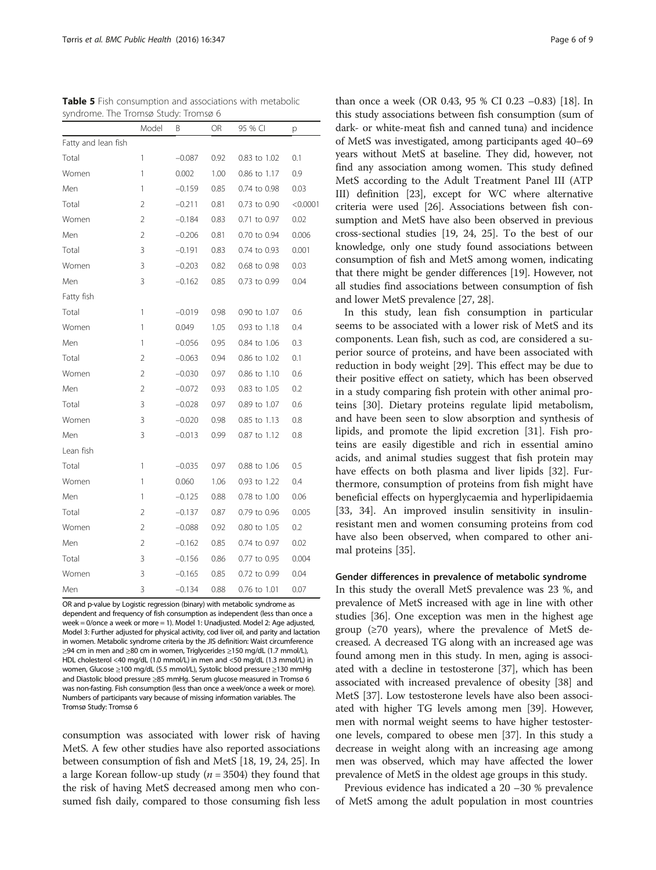| syndrome. The Tromsø Study: Tromsø 6 |                |          |      |              |          |
|--------------------------------------|----------------|----------|------|--------------|----------|
|                                      | Model          | B        | OR   | 95 % CI      | р        |
| Fatty and lean fish                  |                |          |      |              |          |
| Total                                | 1              | $-0.087$ | 0.92 | 0.83 to 1.02 | 0.1      |
| Women                                | 1              | 0.002    | 1.00 | 0.86 to 1.17 | 0.9      |
| Men                                  | 1              | $-0.159$ | 0.85 | 0.74 to 0.98 | 0.03     |
| Total                                | $\overline{2}$ | $-0.211$ | 0.81 | 0.73 to 0.90 | < 0.0001 |
| Women                                | $\overline{2}$ | $-0.184$ | 0.83 | 0.71 to 0.97 | 0.02     |
| Men                                  | $\overline{2}$ | $-0.206$ | 0.81 | 0.70 to 0.94 | 0.006    |
| Total                                | 3              | $-0.191$ | 0.83 | 0.74 to 0.93 | 0.001    |
| Women                                | 3              | $-0.203$ | 0.82 | 0.68 to 0.98 | 0.03     |
| Men                                  | 3              | $-0.162$ | 0.85 | 0.73 to 0.99 | 0.04     |
| Fatty fish                           |                |          |      |              |          |
| Total                                | 1              | $-0.019$ | 0.98 | 0.90 to 1.07 | 0.6      |
| Women                                | 1              | 0.049    | 1.05 | 0.93 to 1.18 | 0.4      |
| Men                                  | 1              | $-0.056$ | 0.95 | 0.84 to 1.06 | 0.3      |
| Total                                | $\overline{2}$ | $-0.063$ | 0.94 | 0.86 to 1.02 | 0.1      |
| Women                                | $\overline{2}$ | $-0.030$ | 0.97 | 0.86 to 1.10 | 0.6      |
| Men                                  | $\overline{2}$ | $-0.072$ | 0.93 | 0.83 to 1.05 | 0.2      |
| Total                                | 3              | $-0.028$ | 0.97 | 0.89 to 1.07 | 0.6      |
| Women                                | 3              | $-0.020$ | 0.98 | 0.85 to 1.13 | 0.8      |
| Men                                  | 3              | $-0.013$ | 0.99 | 0.87 to 1.12 | 0.8      |
| Lean fish                            |                |          |      |              |          |
| Total                                | 1              | $-0.035$ | 0.97 | 0.88 to 1.06 | 0.5      |
| Women                                | 1              | 0.060    | 1.06 | 0.93 to 1.22 | 0.4      |
| Men                                  | 1              | $-0.125$ | 0.88 | 0.78 to 1.00 | 0.06     |
| Total                                | $\overline{2}$ | $-0.137$ | 0.87 | 0.79 to 0.96 | 0.005    |
| Women                                | $\overline{2}$ | $-0.088$ | 0.92 | 0.80 to 1.05 | 0.2      |
| Men                                  | $\overline{2}$ | $-0.162$ | 0.85 | 0.74 to 0.97 | 0.02     |
| Total                                | 3              | $-0.156$ | 0.86 | 0.77 to 0.95 | 0.004    |

<span id="page-5-0"></span>Table 5 Fish consumption and associations with metabolic

OR and p-value by Logistic regression (binary) with metabolic syndrome as dependent and frequency of fish consumption as independent (less than once a week = 0/once a week or more = 1). Model 1: Unadjusted. Model 2: Age adjusted, Model 3: Further adjusted for physical activity, cod liver oil, and parity and lactation in women. Metabolic syndrome criteria by the JIS definition: Waist circumference ≥94 cm in men and ≥80 cm in women, Triglycerides ≥150 mg/dL (1.7 mmol/L), HDL cholesterol <40 mg/dL (1.0 mmol/L) in men and <50 mg/dL (1.3 mmol/L) in women, Glucose ≥100 mg/dL (5.5 mmol/L), Systolic blood pressure ≥130 mmHg and Diastolic blood pressure ≥85 mmHg. Serum glucose measured in Tromsø 6 was non-fasting. Fish consumption (less than once a week/once a week or more). Numbers of participants vary because of missing information variables. The Tromsø Study: Tromsø 6

Women 3 -0.165 0.85 0.72 to 0.99 0.04 Men 3 -0.134 0.88 0.76 to 1.01 0.07

consumption was associated with lower risk of having MetS. A few other studies have also reported associations between consumption of fish and MetS [[18](#page-7-0), [19, 24](#page-7-0), [25\]](#page-7-0). In a large Korean follow-up study ( $n = 3504$ ) they found that the risk of having MetS decreased among men who consumed fish daily, compared to those consuming fish less

than once a week (OR 0.43, 95 % CI 0.23 –0.83) [[18](#page-7-0)]. In this study associations between fish consumption (sum of dark- or white-meat fish and canned tuna) and incidence of MetS was investigated, among participants aged 40–69 years without MetS at baseline. They did, however, not find any association among women. This study defined MetS according to the Adult Treatment Panel III (ATP III) definition [[23](#page-7-0)], except for WC where alternative criteria were used [\[26\]](#page-7-0). Associations between fish consumption and MetS have also been observed in previous cross-sectional studies [\[19, 24](#page-7-0), [25](#page-7-0)]. To the best of our knowledge, only one study found associations between consumption of fish and MetS among women, indicating that there might be gender differences [\[19](#page-7-0)]. However, not all studies find associations between consumption of fish and lower MetS prevalence [\[27,](#page-7-0) [28](#page-8-0)].

In this study, lean fish consumption in particular seems to be associated with a lower risk of MetS and its components. Lean fish, such as cod, are considered a superior source of proteins, and have been associated with reduction in body weight [[29](#page-8-0)]. This effect may be due to their positive effect on satiety, which has been observed in a study comparing fish protein with other animal proteins [[30](#page-8-0)]. Dietary proteins regulate lipid metabolism, and have been seen to slow absorption and synthesis of lipids, and promote the lipid excretion [[31](#page-8-0)]. Fish proteins are easily digestible and rich in essential amino acids, and animal studies suggest that fish protein may have effects on both plasma and liver lipids [\[32](#page-8-0)]. Furthermore, consumption of proteins from fish might have beneficial effects on hyperglycaemia and hyperlipidaemia [[33, 34](#page-8-0)]. An improved insulin sensitivity in insulinresistant men and women consuming proteins from cod have also been observed, when compared to other animal proteins [\[35](#page-8-0)].

#### Gender differences in prevalence of metabolic syndrome

In this study the overall MetS prevalence was 23 %, and prevalence of MetS increased with age in line with other studies [[36](#page-8-0)]. One exception was men in the highest age group  $(\geq 70$  years), where the prevalence of MetS decreased. A decreased TG along with an increased age was found among men in this study. In men, aging is associated with a decline in testosterone [\[37](#page-8-0)], which has been associated with increased prevalence of obesity [[38](#page-8-0)] and MetS [[37](#page-8-0)]. Low testosterone levels have also been associated with higher TG levels among men [[39](#page-8-0)]. However, men with normal weight seems to have higher testosterone levels, compared to obese men [[37](#page-8-0)]. In this study a decrease in weight along with an increasing age among men was observed, which may have affected the lower prevalence of MetS in the oldest age groups in this study.

Previous evidence has indicated a 20 –30 % prevalence of MetS among the adult population in most countries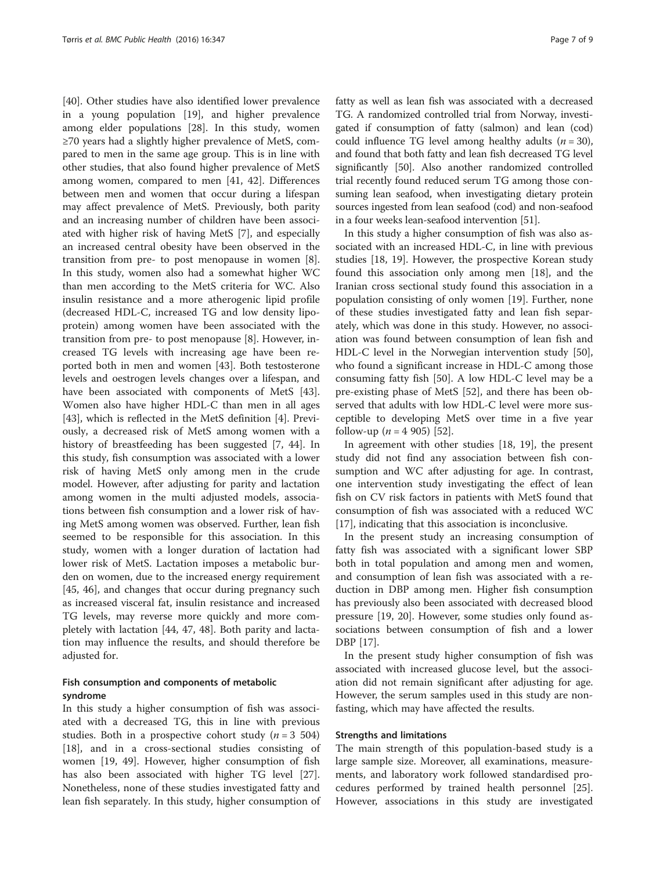[[40\]](#page-8-0). Other studies have also identified lower prevalence in a young population [[19](#page-7-0)], and higher prevalence among elder populations [[28\]](#page-8-0). In this study, women ≥70 years had a slightly higher prevalence of MetS, compared to men in the same age group. This is in line with other studies, that also found higher prevalence of MetS among women, compared to men [[41, 42\]](#page-8-0). Differences between men and women that occur during a lifespan may affect prevalence of MetS. Previously, both parity and an increasing number of children have been associated with higher risk of having MetS [[7\]](#page-7-0), and especially an increased central obesity have been observed in the transition from pre- to post menopause in women [\[8](#page-7-0)]. In this study, women also had a somewhat higher WC than men according to the MetS criteria for WC. Also insulin resistance and a more atherogenic lipid profile (decreased HDL-C, increased TG and low density lipoprotein) among women have been associated with the transition from pre- to post menopause [[8\]](#page-7-0). However, increased TG levels with increasing age have been reported both in men and women [[43\]](#page-8-0). Both testosterone levels and oestrogen levels changes over a lifespan, and have been associated with components of MetS [\[43](#page-8-0)]. Women also have higher HDL-C than men in all ages [[43\]](#page-8-0), which is reflected in the MetS definition [[4\]](#page-7-0). Previously, a decreased risk of MetS among women with a history of breastfeeding has been suggested [\[7](#page-7-0), [44\]](#page-8-0). In this study, fish consumption was associated with a lower risk of having MetS only among men in the crude model. However, after adjusting for parity and lactation among women in the multi adjusted models, associations between fish consumption and a lower risk of having MetS among women was observed. Further, lean fish seemed to be responsible for this association. In this study, women with a longer duration of lactation had lower risk of MetS. Lactation imposes a metabolic burden on women, due to the increased energy requirement [[45, 46](#page-8-0)], and changes that occur during pregnancy such as increased visceral fat, insulin resistance and increased TG levels, may reverse more quickly and more completely with lactation [\[44, 47](#page-8-0), [48\]](#page-8-0). Both parity and lactation may influence the results, and should therefore be adjusted for.

### Fish consumption and components of metabolic syndrome

In this study a higher consumption of fish was associated with a decreased TG, this in line with previous studies. Both in a prospective cohort study ( $n = 3,504$ ) [[18\]](#page-7-0), and in a cross-sectional studies consisting of women [[19](#page-7-0), [49](#page-8-0)]. However, higher consumption of fish has also been associated with higher TG level [\[27](#page-7-0)]. Nonetheless, none of these studies investigated fatty and lean fish separately. In this study, higher consumption of

fatty as well as lean fish was associated with a decreased TG. A randomized controlled trial from Norway, investigated if consumption of fatty (salmon) and lean (cod) could influence TG level among healthy adults  $(n = 30)$ , and found that both fatty and lean fish decreased TG level significantly [[50](#page-8-0)]. Also another randomized controlled trial recently found reduced serum TG among those consuming lean seafood, when investigating dietary protein sources ingested from lean seafood (cod) and non-seafood in a four weeks lean-seafood intervention [[51](#page-8-0)].

In this study a higher consumption of fish was also associated with an increased HDL-C, in line with previous studies [[18, 19](#page-7-0)]. However, the prospective Korean study found this association only among men [\[18](#page-7-0)], and the Iranian cross sectional study found this association in a population consisting of only women [\[19](#page-7-0)]. Further, none of these studies investigated fatty and lean fish separately, which was done in this study. However, no association was found between consumption of lean fish and HDL-C level in the Norwegian intervention study [\[50](#page-8-0)], who found a significant increase in HDL-C among those consuming fatty fish [\[50](#page-8-0)]. A low HDL-C level may be a pre-existing phase of MetS [\[52\]](#page-8-0), and there has been observed that adults with low HDL-C level were more susceptible to developing MetS over time in a five year follow-up ( $n = 4$  905) [[52\]](#page-8-0).

In agreement with other studies [[18, 19\]](#page-7-0), the present study did not find any association between fish consumption and WC after adjusting for age. In contrast, one intervention study investigating the effect of lean fish on CV risk factors in patients with MetS found that consumption of fish was associated with a reduced WC [[17\]](#page-7-0), indicating that this association is inconclusive.

In the present study an increasing consumption of fatty fish was associated with a significant lower SBP both in total population and among men and women, and consumption of lean fish was associated with a reduction in DBP among men. Higher fish consumption has previously also been associated with decreased blood pressure [[19, 20\]](#page-7-0). However, some studies only found associations between consumption of fish and a lower DBP [\[17](#page-7-0)].

In the present study higher consumption of fish was associated with increased glucose level, but the association did not remain significant after adjusting for age. However, the serum samples used in this study are nonfasting, which may have affected the results.

#### Strengths and limitations

The main strength of this population-based study is a large sample size. Moreover, all examinations, measurements, and laboratory work followed standardised procedures performed by trained health personnel [\[25](#page-7-0)]. However, associations in this study are investigated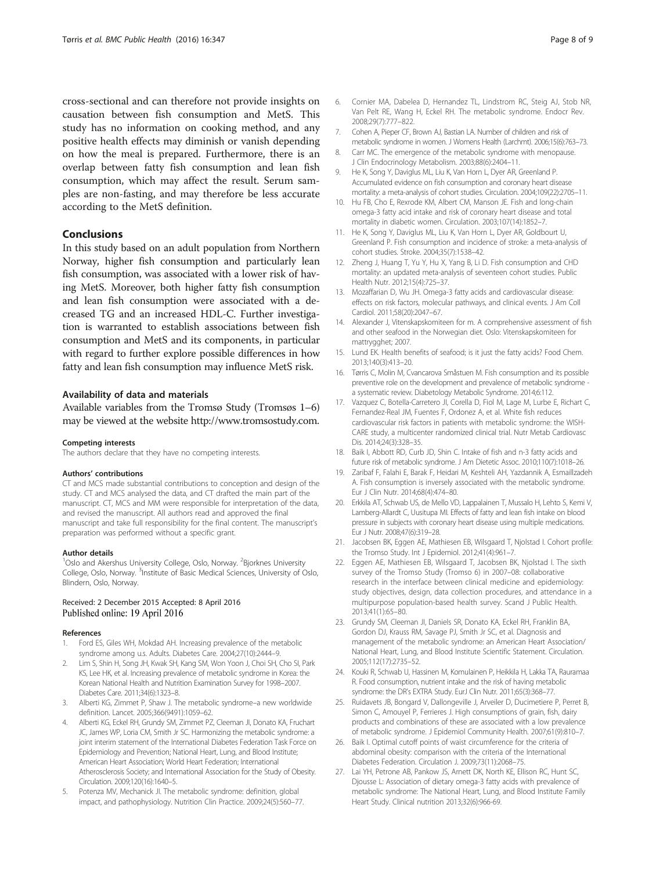<span id="page-7-0"></span>cross-sectional and can therefore not provide insights on causation between fish consumption and MetS. This study has no information on cooking method, and any positive health effects may diminish or vanish depending on how the meal is prepared. Furthermore, there is an overlap between fatty fish consumption and lean fish consumption, which may affect the result. Serum samples are non-fasting, and may therefore be less accurate according to the MetS definition.

#### Conclusions

In this study based on an adult population from Northern Norway, higher fish consumption and particularly lean fish consumption, was associated with a lower risk of having MetS. Moreover, both higher fatty fish consumption and lean fish consumption were associated with a decreased TG and an increased HDL-C. Further investigation is warranted to establish associations between fish consumption and MetS and its components, in particular with regard to further explore possible differences in how fatty and lean fish consumption may influence MetS risk.

#### Availability of data and materials

Available variables from the Tromsø Study (Tromsøs 1–6) may be viewed at the website [http://www.tromsostudy.com.](http://www.tromsostudy.com/)

#### Competing interests

The authors declare that they have no competing interests.

#### Authors' contributions

CT and MCS made substantial contributions to conception and design of the study. CT and MCS analysed the data, and CT drafted the main part of the manuscript. CT, MCS and MM were responsible for interpretation of the data, and revised the manuscript. All authors read and approved the final manuscript and take full responsibility for the final content. The manuscript's preparation was performed without a specific grant.

#### Author details

<sup>1</sup>Oslo and Akershus University College, Oslo, Norway. <sup>2</sup>Bjorknes University College, Oslo, Norway. <sup>3</sup>Institute of Basic Medical Sciences, University of Oslo, Blindern, Oslo, Norway.

#### Received: 2 December 2015 Accepted: 8 April 2016 Published online: 19 April 2016

#### References

- Ford ES, Giles WH, Mokdad AH. Increasing prevalence of the metabolic syndrome among u.s. Adults. Diabetes Care. 2004;27(10):2444–9.
- 2. Lim S, Shin H, Song JH, Kwak SH, Kang SM, Won Yoon J, Choi SH, Cho SI, Park KS, Lee HK, et al. Increasing prevalence of metabolic syndrome in Korea: the Korean National Health and Nutrition Examination Survey for 1998–2007. Diabetes Care. 2011;34(6):1323–8.
- 3. Alberti KG, Zimmet P, Shaw J. The metabolic syndrome–a new worldwide definition. Lancet. 2005;366(9491):1059–62.
- 4. Alberti KG, Eckel RH, Grundy SM, Zimmet PZ, Cleeman JI, Donato KA, Fruchart JC, James WP, Loria CM, Smith Jr SC. Harmonizing the metabolic syndrome: a joint interim statement of the International Diabetes Federation Task Force on Epidemiology and Prevention; National Heart, Lung, and Blood Institute; American Heart Association; World Heart Federation; International Atherosclerosis Society; and International Association for the Study of Obesity. Circulation. 2009;120(16):1640–5.
- 5. Potenza MV, Mechanick JI. The metabolic syndrome: definition, global impact, and pathophysiology. Nutrition Clin Practice. 2009;24(5):560–77.
- 6. Cornier MA, Dabelea D, Hernandez TL, Lindstrom RC, Steig AJ, Stob NR, Van Pelt RE, Wang H, Eckel RH. The metabolic syndrome. Endocr Rev. 2008;29(7):777–822.
- 7. Cohen A, Pieper CF, Brown AJ, Bastian LA. Number of children and risk of metabolic syndrome in women. J Womens Health (Larchmt). 2006;15(6):763–73.
- 8. Carr MC. The emergence of the metabolic syndrome with menopause. J Clin Endocrinology Metabolism. 2003;88(6):2404–11.
- 9. He K, Song Y, Daviglus ML, Liu K, Van Horn L, Dyer AR, Greenland P. Accumulated evidence on fish consumption and coronary heart disease mortality: a meta-analysis of cohort studies. Circulation. 2004;109(22):2705–11.
- 10. Hu FB, Cho E, Rexrode KM, Albert CM, Manson JE. Fish and long-chain omega-3 fatty acid intake and risk of coronary heart disease and total mortality in diabetic women. Circulation. 2003;107(14):1852–7.
- 11. He K, Song Y, Daviglus ML, Liu K, Van Horn L, Dyer AR, Goldbourt U, Greenland P. Fish consumption and incidence of stroke: a meta-analysis of cohort studies. Stroke. 2004;35(7):1538–42.
- 12. Zheng J, Huang T, Yu Y, Hu X, Yang B, Li D. Fish consumption and CHD mortality: an updated meta-analysis of seventeen cohort studies. Public Health Nutr. 2012;15(4):725–37.
- 13. Mozaffarian D, Wu JH. Omega-3 fatty acids and cardiovascular disease: effects on risk factors, molecular pathways, and clinical events. J Am Coll Cardiol. 2011;58(20):2047–67.
- 14. Alexander J, Vitenskapskomiteen for m. A comprehensive assessment of fish and other seafood in the Norwegian diet. Oslo: Vitenskapskomiteen for mattrygghet; 2007.
- 15. Lund EK. Health benefits of seafood; is it just the fatty acids? Food Chem. 2013;140(3):413–20.
- 16. Tørris C, Molin M, Cvancarova Småstuen M. Fish consumption and its possible preventive role on the development and prevalence of metabolic syndrome a systematic review. Diabetology Metabolic Syndrome. 2014;6:112.
- 17. Vazquez C, Botella-Carretero JI, Corella D, Fiol M, Lage M, Lurbe E, Richart C, Fernandez-Real JM, Fuentes F, Ordonez A, et al. White fish reduces cardiovascular risk factors in patients with metabolic syndrome: the WISH-CARE study, a multicenter randomized clinical trial. Nutr Metab Cardiovasc Dis. 2014;24(3):328–35.
- 18. Baik I, Abbott RD, Curb JD, Shin C. Intake of fish and n-3 fatty acids and future risk of metabolic syndrome. J Am Dietetic Assoc. 2010;110(7):1018–26.
- 19. Zaribaf F, Falahi E, Barak F, Heidari M, Keshteli AH, Yazdannik A, Esmaillzadeh A. Fish consumption is inversely associated with the metabolic syndrome. Eur J Clin Nutr. 2014;68(4):474–80.
- 20. Erkkila AT, Schwab US, de Mello VD, Lappalainen T, Mussalo H, Lehto S, Kemi V, Lamberg-Allardt C, Uusitupa MI. Effects of fatty and lean fish intake on blood pressure in subjects with coronary heart disease using multiple medications. Eur J Nutr. 2008;47(6):319–28.
- 21. Jacobsen BK, Eggen AE, Mathiesen EB, Wilsgaard T, Njolstad I. Cohort profile: the Tromso Study. Int J Epidemiol. 2012;41(4):961–7.
- 22. Eggen AE, Mathiesen EB, Wilsgaard T, Jacobsen BK, Njolstad I. The sixth survey of the Tromso Study (Tromso 6) in 2007–08: collaborative research in the interface between clinical medicine and epidemiology: study objectives, design, data collection procedures, and attendance in a multipurpose population-based health survey. Scand J Public Health. 2013;41(1):65–80.
- 23. Grundy SM, Cleeman JI, Daniels SR, Donato KA, Eckel RH, Franklin BA, Gordon DJ, Krauss RM, Savage PJ, Smith Jr SC, et al. Diagnosis and management of the metabolic syndrome: an American Heart Association/ National Heart, Lung, and Blood Institute Scientific Statement. Circulation. 2005;112(17):2735–52.
- 24. Kouki R, Schwab U, Hassinen M, Komulainen P, Heikkila H, Lakka TA, Rauramaa R. Food consumption, nutrient intake and the risk of having metabolic syndrome: the DR's EXTRA Study. EurJ Clin Nutr. 2011;65(3):368–77.
- 25. Ruidavets JB, Bongard V, Dallongeville J, Arveiler D, Ducimetiere P, Perret B, Simon C, Amouyel P, Ferrieres J. High consumptions of grain, fish, dairy products and combinations of these are associated with a low prevalence of metabolic syndrome. J Epidemiol Community Health. 2007;61(9):810–7.
- 26. Baik I. Optimal cutoff points of waist circumference for the criteria of abdominal obesity: comparison with the criteria of the International Diabetes Federation. Circulation J. 2009;73(11):2068–75.
- 27. Lai YH, Petrone AB, Pankow JS, Arnett DK, North KE, Ellison RC, Hunt SC, Djousse L: Association of dietary omega-3 fatty acids with prevalence of metabolic syndrome: The National Heart, Lung, and Blood Institute Family Heart Study. Clinical nutrition 2013;32(6):966-69.